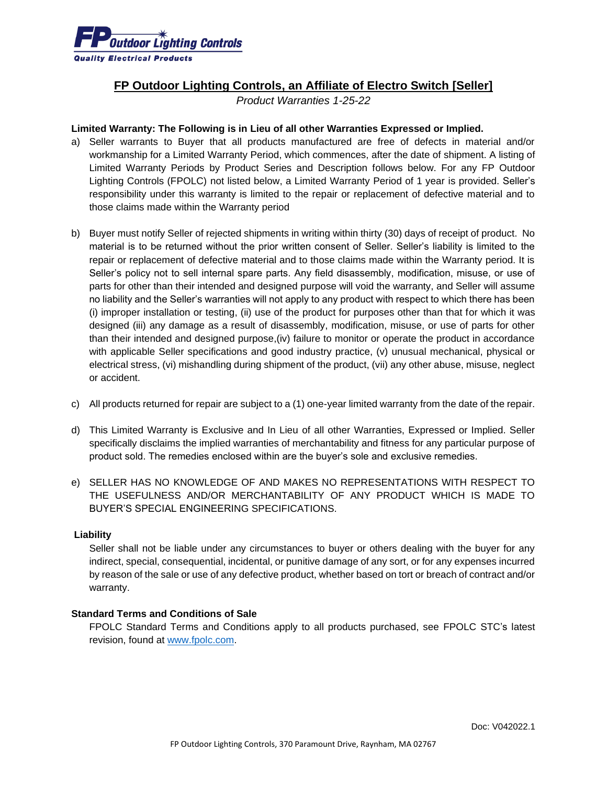

## **FP Outdoor Lighting Controls, an Affiliate of Electro Switch [Seller]**

*Product Warranties 1-25-22*

## **Limited Warranty: The Following is in Lieu of all other Warranties Expressed or Implied.**

- a) Seller warrants to Buyer that all products manufactured are free of defects in material and/or workmanship for a Limited Warranty Period, which commences, after the date of shipment. A listing of Limited Warranty Periods by Product Series and Description follows below. For any FP Outdoor Lighting Controls (FPOLC) not listed below, a Limited Warranty Period of 1 year is provided. Seller's responsibility under this warranty is limited to the repair or replacement of defective material and to those claims made within the Warranty period
- b) Buyer must notify Seller of rejected shipments in writing within thirty (30) days of receipt of product. No material is to be returned without the prior written consent of Seller. Seller's liability is limited to the repair or replacement of defective material and to those claims made within the Warranty period. It is Seller's policy not to sell internal spare parts. Any field disassembly, modification, misuse, or use of parts for other than their intended and designed purpose will void the warranty, and Seller will assume no liability and the Seller's warranties will not apply to any product with respect to which there has been (i) improper installation or testing, (ii) use of the product for purposes other than that for which it was designed (iii) any damage as a result of disassembly, modification, misuse, or use of parts for other than their intended and designed purpose,(iv) failure to monitor or operate the product in accordance with applicable Seller specifications and good industry practice, (v) unusual mechanical, physical or electrical stress, (vi) mishandling during shipment of the product, (vii) any other abuse, misuse, neglect or accident.
- c) All products returned for repair are subject to a (1) one-year limited warranty from the date of the repair.
- d) This Limited Warranty is Exclusive and In Lieu of all other Warranties, Expressed or Implied. Seller specifically disclaims the implied warranties of merchantability and fitness for any particular purpose of product sold. The remedies enclosed within are the buyer's sole and exclusive remedies.
- e) SELLER HAS NO KNOWLEDGE OF AND MAKES NO REPRESENTATIONS WITH RESPECT TO THE USEFULNESS AND/OR MERCHANTABILITY OF ANY PRODUCT WHICH IS MADE TO BUYER'S SPECIAL ENGINEERING SPECIFICATIONS.

## **Liability**

Seller shall not be liable under any circumstances to buyer or others dealing with the buyer for any indirect, special, consequential, incidental, or punitive damage of any sort, or for any expenses incurred by reason of the sale or use of any defective product, whether based on tort or breach of contract and/or warranty.

## **Standard Terms and Conditions of Sale**

FPOLC Standard Terms and Conditions apply to all products purchased, see FPOLC STC's latest revision, found at [www.fpolc.com.](http://www.fpolc.com/terms-and-conditions)